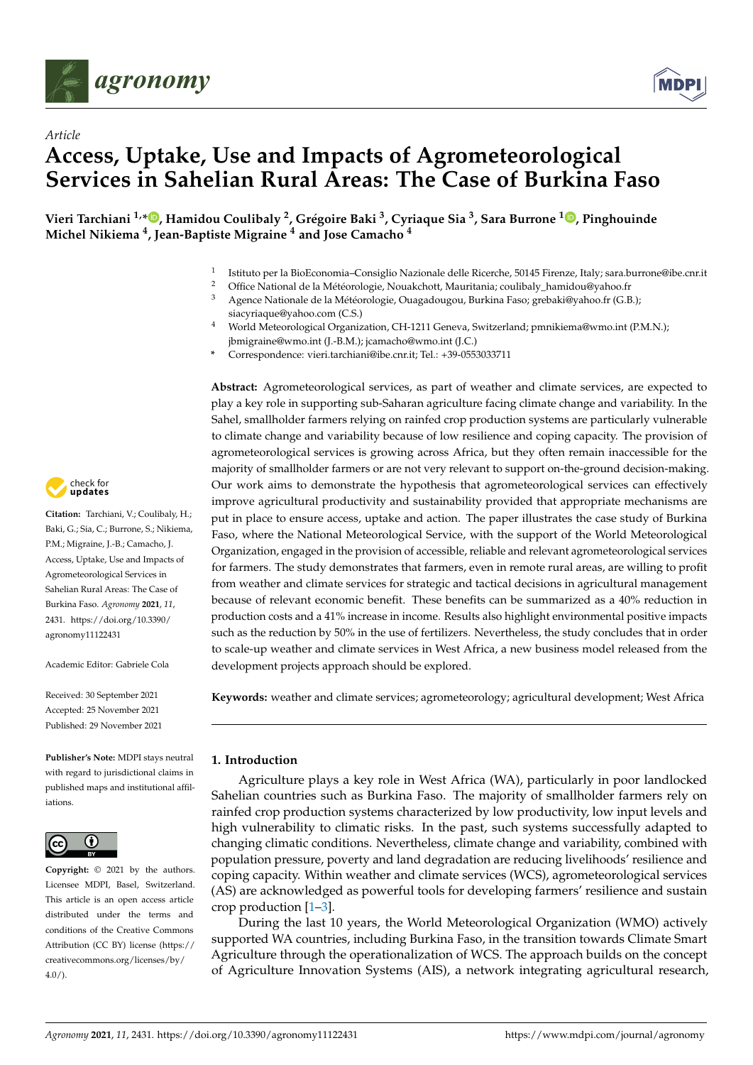

*Article*



# **Access, Uptake, Use and Impacts of Agrometeorological Services in Sahelian Rural Areas: The Case of Burkina Faso**

**Vieri Tarchiani 1,[\\*](https://orcid.org/0000-0003-2290-6746) , Hamidou Coulibaly <sup>2</sup> , Grégoire Baki <sup>3</sup> , Cyriaque Sia <sup>3</sup> , Sara Burrone <sup>1</sup> [,](https://orcid.org/0000-0002-0882-507X) Pinghouinde Michel Nikiema <sup>4</sup> , Jean-Baptiste Migraine <sup>4</sup> and Jose Camacho <sup>4</sup>**

- 1 Istituto per la BioEconomia–Consiglio Nazionale delle Ricerche, 50145 Firenze, Italy; sara.burrone@ibe.cnr.it
- <sup>2</sup> Office National de la Météorologie, Nouakchott, Mauritania; coulibaly\_hamidou@yahoo.fr<br><sup>3</sup> Agence Nationale de la Météorologie, Quagadougou, Burkina Easo: grebaki@yahoo.fr (C.B.
- <sup>3</sup> Agence Nationale de la Météorologie, Ouagadougou, Burkina Faso; grebaki@yahoo.fr (G.B.);
- siacyriaque@yahoo.com (C.S.) <sup>4</sup> World Meteorological Organization, CH-1211 Geneva, Switzerland; pmnikiema@wmo.int (P.M.N.); jbmigraine@wmo.int (J.-B.M.); jcamacho@wmo.int (J.C.)
- **\*** Correspondence: vieri.tarchiani@ibe.cnr.it; Tel.: +39-0553033711

**Abstract:** Agrometeorological services, as part of weather and climate services, are expected to play a key role in supporting sub-Saharan agriculture facing climate change and variability. In the Sahel, smallholder farmers relying on rainfed crop production systems are particularly vulnerable to climate change and variability because of low resilience and coping capacity. The provision of agrometeorological services is growing across Africa, but they often remain inaccessible for the majority of smallholder farmers or are not very relevant to support on-the-ground decision-making. Our work aims to demonstrate the hypothesis that agrometeorological services can effectively improve agricultural productivity and sustainability provided that appropriate mechanisms are put in place to ensure access, uptake and action. The paper illustrates the case study of Burkina Faso, where the National Meteorological Service, with the support of the World Meteorological Organization, engaged in the provision of accessible, reliable and relevant agrometeorological services for farmers. The study demonstrates that farmers, even in remote rural areas, are willing to profit from weather and climate services for strategic and tactical decisions in agricultural management because of relevant economic benefit. These benefits can be summarized as a 40% reduction in production costs and a 41% increase in income. Results also highlight environmental positive impacts such as the reduction by 50% in the use of fertilizers. Nevertheless, the study concludes that in order to scale-up weather and climate services in West Africa, a new business model released from the development projects approach should be explored.

**Keywords:** weather and climate services; agrometeorology; agricultural development; West Africa

# **1. Introduction**

Agriculture plays a key role in West Africa (WA), particularly in poor landlocked Sahelian countries such as Burkina Faso. The majority of smallholder farmers rely on rainfed crop production systems characterized by low productivity, low input levels and high vulnerability to climatic risks. In the past, such systems successfully adapted to changing climatic conditions. Nevertheless, climate change and variability, combined with population pressure, poverty and land degradation are reducing livelihoods' resilience and coping capacity. Within weather and climate services (WCS), agrometeorological services (AS) are acknowledged as powerful tools for developing farmers' resilience and sustain crop production [\[1](#page-12-0)[–3\]](#page-12-1).

During the last 10 years, the World Meteorological Organization (WMO) actively supported WA countries, including Burkina Faso, in the transition towards Climate Smart Agriculture through the operationalization of WCS. The approach builds on the concept of Agriculture Innovation Systems (AIS), a network integrating agricultural research,



**Citation:** Tarchiani, V.; Coulibaly, H.; Baki, G.; Sia, C.; Burrone, S.; Nikiema, P.M.; Migraine, J.-B.; Camacho, J. Access, Uptake, Use and Impacts of Agrometeorological Services in Sahelian Rural Areas: The Case of Burkina Faso. *Agronomy* **2021**, *11*, 2431. [https://doi.org/10.3390/](https://doi.org/10.3390/agronomy11122431) [agronomy11122431](https://doi.org/10.3390/agronomy11122431)

Academic Editor: Gabriele Cola

Received: 30 September 2021 Accepted: 25 November 2021 Published: 29 November 2021

**Publisher's Note:** MDPI stays neutral with regard to jurisdictional claims in published maps and institutional affiliations.



**Copyright:** © 2021 by the authors. Licensee MDPI, Basel, Switzerland. This article is an open access article distributed under the terms and conditions of the Creative Commons Attribution (CC BY) license (https:/[/](https://creativecommons.org/licenses/by/4.0/) [creativecommons.org/licenses/by/](https://creativecommons.org/licenses/by/4.0/)  $4.0/$ ).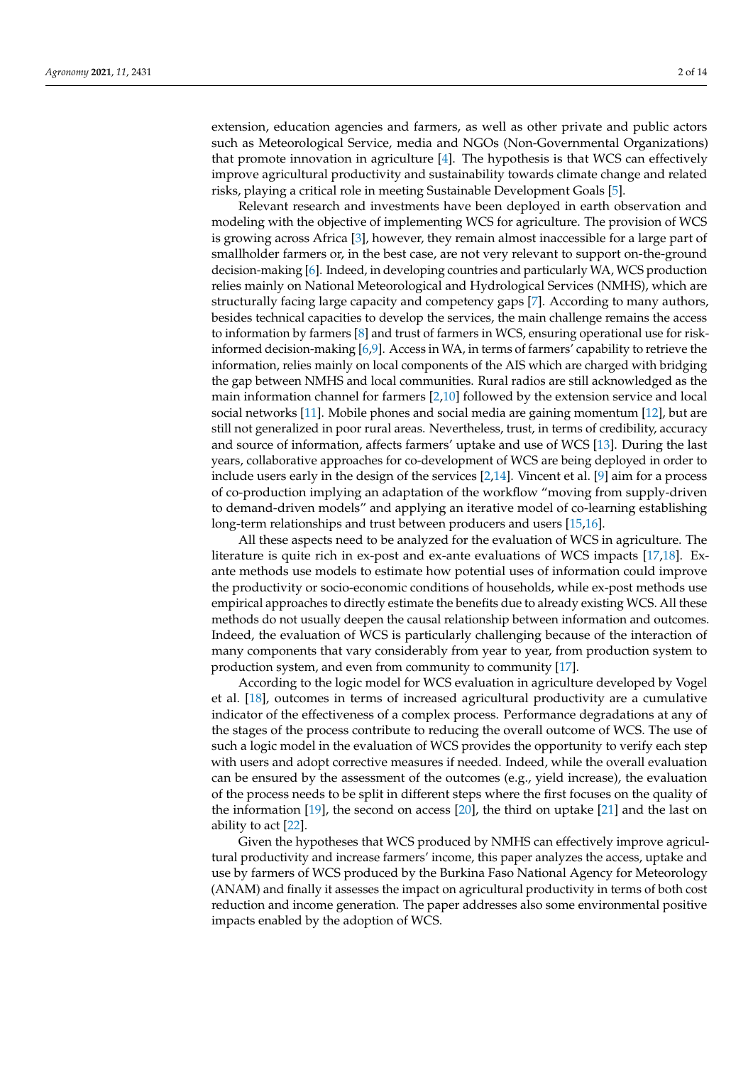extension, education agencies and farmers, as well as other private and public actors such as Meteorological Service, media and NGOs (Non-Governmental Organizations) that promote innovation in agriculture [\[4\]](#page-12-2). The hypothesis is that WCS can effectively improve agricultural productivity and sustainability towards climate change and related risks, playing a critical role in meeting Sustainable Development Goals [\[5\]](#page-12-3).

Relevant research and investments have been deployed in earth observation and modeling with the objective of implementing WCS for agriculture. The provision of WCS is growing across Africa [\[3\]](#page-12-1), however, they remain almost inaccessible for a large part of smallholder farmers or, in the best case, are not very relevant to support on-the-ground decision-making [\[6\]](#page-12-4). Indeed, in developing countries and particularly WA, WCS production relies mainly on National Meteorological and Hydrological Services (NMHS), which are structurally facing large capacity and competency gaps [\[7\]](#page-12-5). According to many authors, besides technical capacities to develop the services, the main challenge remains the access to information by farmers [\[8\]](#page-12-6) and trust of farmers in WCS, ensuring operational use for riskinformed decision-making [\[6,](#page-12-4)[9\]](#page-12-7). Access in WA, in terms of farmers' capability to retrieve the information, relies mainly on local components of the AIS which are charged with bridging the gap between NMHS and local communities. Rural radios are still acknowledged as the main information channel for farmers [\[2,](#page-12-8)[10\]](#page-12-9) followed by the extension service and local social networks [\[11\]](#page-12-10). Mobile phones and social media are gaining momentum [\[12\]](#page-12-11), but are still not generalized in poor rural areas. Nevertheless, trust, in terms of credibility, accuracy and source of information, affects farmers' uptake and use of WCS [\[13\]](#page-12-12). During the last years, collaborative approaches for co-development of WCS are being deployed in order to include users early in the design of the services [\[2](#page-12-8)[,14\]](#page-12-13). Vincent et al. [\[9\]](#page-12-7) aim for a process of co-production implying an adaptation of the workflow "moving from supply-driven to demand-driven models" and applying an iterative model of co-learning establishing long-term relationships and trust between producers and users [\[15](#page-12-14)[,16\]](#page-12-15).

All these aspects need to be analyzed for the evaluation of WCS in agriculture. The literature is quite rich in ex-post and ex-ante evaluations of WCS impacts [\[17,](#page-12-16)[18\]](#page-12-17). Exante methods use models to estimate how potential uses of information could improve the productivity or socio-economic conditions of households, while ex-post methods use empirical approaches to directly estimate the benefits due to already existing WCS. All these methods do not usually deepen the causal relationship between information and outcomes. Indeed, the evaluation of WCS is particularly challenging because of the interaction of many components that vary considerably from year to year, from production system to production system, and even from community to community [\[17\]](#page-12-16).

According to the logic model for WCS evaluation in agriculture developed by Vogel et al. [\[18\]](#page-12-17), outcomes in terms of increased agricultural productivity are a cumulative indicator of the effectiveness of a complex process. Performance degradations at any of the stages of the process contribute to reducing the overall outcome of WCS. The use of such a logic model in the evaluation of WCS provides the opportunity to verify each step with users and adopt corrective measures if needed. Indeed, while the overall evaluation can be ensured by the assessment of the outcomes (e.g., yield increase), the evaluation of the process needs to be split in different steps where the first focuses on the quality of the information [\[19\]](#page-13-0), the second on access [\[20\]](#page-13-1), the third on uptake [\[21\]](#page-13-2) and the last on ability to act [\[22\]](#page-13-3).

Given the hypotheses that WCS produced by NMHS can effectively improve agricultural productivity and increase farmers' income, this paper analyzes the access, uptake and use by farmers of WCS produced by the Burkina Faso National Agency for Meteorology (ANAM) and finally it assesses the impact on agricultural productivity in terms of both cost reduction and income generation. The paper addresses also some environmental positive impacts enabled by the adoption of WCS.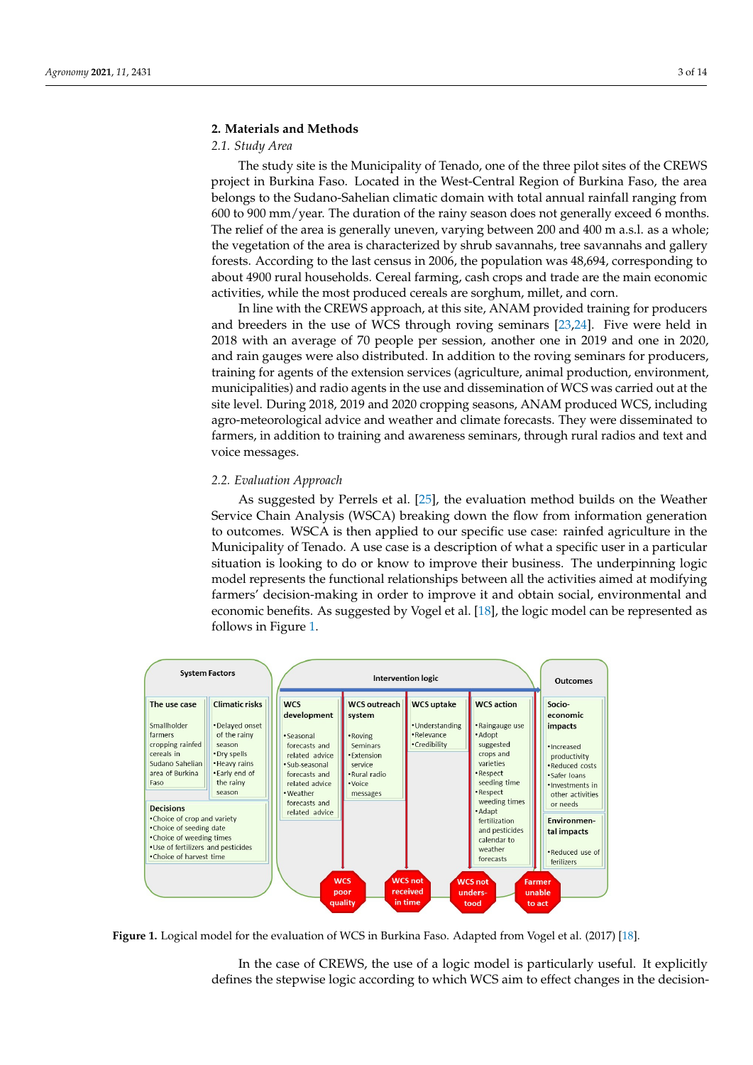# **2. Materials and Methods**

# *2.1. Study Area*

The study site is the Municipality of Tenado, one of the three pilot sites of the CREWS project in Burkina Faso. Located in the West-Central Region of Burkina Faso, the area **2. Materials 12. Materials and Methods 2. Materials and Methods 3. Materials and Methods 3. Materials and Methods 3. Materials and Methods 3. Materials and Methods 3. Materials and Methods 3. Materials and Methods 3. Mate** 600 to 900 mm/year. The duration of the rainy season does not generally exceed 6 months. *2.1. Study Area*  The relief of the area is generally uneven, varying between 200 and 400 m a.s.l. as a whole; the vegetation of the area is characterized by shrub savannahs, tree savannahs and gallery forests. According to the last census in 2006, the population was 48,694, corresponding to about 4900 rural households. Cereal farming, cash crops and trade are the main economic activities, while the most produced cereals are sorghum, millet, and corn. logical to the such senature domain with the Suvarian climatic drivers of the substitution of the substitution of the substitution of the substitution of the substitution of the substitution of the substitution of the subs

In line with the CREWS approach, at this site, ANAM provided training for producers and breeders in the use of WCS through roving seminars [\[23,](#page-13-4)[24\]](#page-13-5). Five were held in  $2018$  with an average of 70 people per session, another one in 2019 and one in 2020, and rain gauges were also distributed. In addition to the roving seminars for producers, and rain gauges were also distributed. In addition to the roving seminars for producers, training for agents of the extension services (agriculture, animal production, environment, municipalities) and radio agents in the use and dissemination of WCS was carried out at the site level. During 2018, 2019 and 2020 cropping seasons, ANAM produced WCS, including agro-meteorological advice and weather and climate forecasts. They were disseminated to farmers, in addition to training and awareness seminars, through rural radios and text and voice messages. rain gauges were also distributed. In addition to the foving seminars for pro- $\frac{1}{2}$  advice and we recognize and  $\frac{1}{2}$  were disseminated for  $\frac{1}{2}$  were disseminated for  $\frac{1}{2}$  were disseminated for  $\frac{1}{2}$  were disseminated for  $\frac{1}{2}$  were disseminated for  $\frac{1}{2}$  were dissemin  $t_{\rm{recoag}}$  in and a mass seminars, through rule radios and text seminars, through rule  $t_{\rm{recoag}}$  and text seminars, the  $t_{\rm{recoag}}$ 

# 2.2. Evaluation Approach

As suggested by Perrels et al. [\[25\]](#page-13-6), the evaluation method builds on the Weather Service Chain Analysis (WSCA) breaking down the flow from information generation to outcomes. WSCA is then applied to our specific use case: rainfed agriculture in the Municipality of Tenado. A use case is a description of what a specific user in a particular situation is looking to do or know to improve their business. The underpinning logic is localized to forming to do or know to improve their business. The underpinning logical model represents the functional relationships between all the activities aimed at modifying farmers' decision-making in order to improve it and obtain social, environmental and economic benefits. As suggested by Vogel et al. [\[18\]](#page-12-17), the logic model can be represented as follows in Figure [1.](#page-2-0) in Figure 1. sents the functional relationships between all the activities aimed at modifying farmers'

<span id="page-2-0"></span>

**Figure 1.** Logical model for the evaluation of WCS in Burkina Faso. Adapted from Vogel et al. (2017) [\[18\]](#page-12-17).

In the case of CREWS, the use of a logic model is particularly useful. It explicitly defines the stepwise logic according to which WCS aim to effect changes in the decision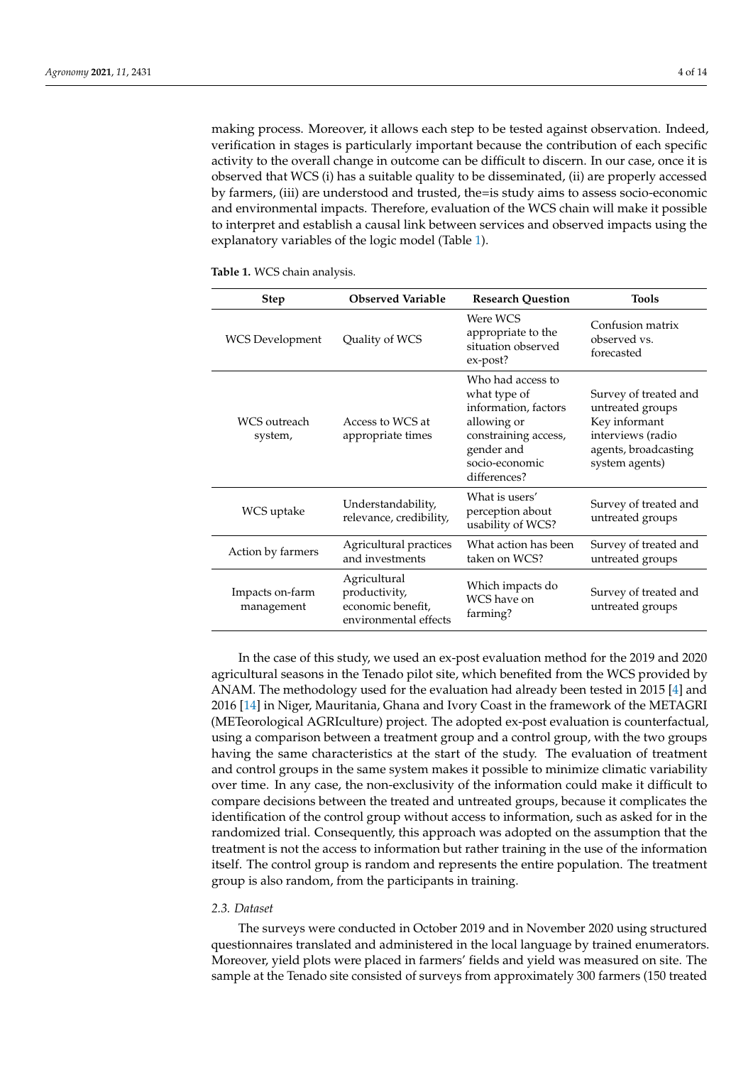making process. Moreover, it allows each step to be tested against observation. Indeed, verification in stages is particularly important because the contribution of each specific activity to the overall change in outcome can be difficult to discern. In our case, once it is observed that WCS (i) has a suitable quality to be disseminated, (ii) are properly accessed by farmers, (iii) are understood and trusted, the=is study aims to assess socio-economic and environmental impacts. Therefore, evaluation of the WCS chain will make it possible to interpret and establish a causal link between services and observed impacts using the explanatory variables of the logic model (Table [1\)](#page-3-0).

| <b>Step</b>                   | <b>Observed Variable</b><br><b>Research Question</b>                        |                                                                                                                                                  | <b>Tools</b>                                                                                                              |
|-------------------------------|-----------------------------------------------------------------------------|--------------------------------------------------------------------------------------------------------------------------------------------------|---------------------------------------------------------------------------------------------------------------------------|
| <b>WCS</b> Development        | Quality of WCS                                                              | Were WCS<br>appropriate to the<br>situation observed<br>ex-post?                                                                                 | Confusion matrix<br>observed vs.<br>forecasted                                                                            |
| WCS outreach<br>system,       | Access to WCS at<br>appropriate times                                       | Who had access to<br>what type of<br>information, factors<br>allowing or<br>constraining access,<br>gender and<br>socio-economic<br>differences? | Survey of treated and<br>untreated groups<br>Key informant<br>interviews (radio<br>agents, broadcasting<br>system agents) |
| WCS uptake                    | Understandability,<br>relevance, credibility,                               | What is users'<br>perception about<br>usability of WCS?                                                                                          | Survey of treated and<br>untreated groups                                                                                 |
| Action by farmers             | Agricultural practices<br>and investments                                   | What action has been<br>taken on WCS?                                                                                                            | Survey of treated and<br>untreated groups                                                                                 |
| Impacts on-farm<br>management | Agricultural<br>productivity,<br>economic benefit,<br>environmental effects | Which impacts do<br>WCS have on<br>farming?                                                                                                      | Survey of treated and<br>untreated groups                                                                                 |

<span id="page-3-0"></span>**Table 1.** WCS chain analysis.

In the case of this study, we used an ex-post evaluation method for the 2019 and 2020 agricultural seasons in the Tenado pilot site, which benefited from the WCS provided by ANAM. The methodology used for the evaluation had already been tested in 2015 [\[4\]](#page-12-2) and 2016 [\[14\]](#page-12-13) in Niger, Mauritania, Ghana and Ivory Coast in the framework of the METAGRI (METeorological AGRIculture) project. The adopted ex-post evaluation is counterfactual, using a comparison between a treatment group and a control group, with the two groups having the same characteristics at the start of the study. The evaluation of treatment and control groups in the same system makes it possible to minimize climatic variability over time. In any case, the non-exclusivity of the information could make it difficult to compare decisions between the treated and untreated groups, because it complicates the identification of the control group without access to information, such as asked for in the randomized trial. Consequently, this approach was adopted on the assumption that the treatment is not the access to information but rather training in the use of the information itself. The control group is random and represents the entire population. The treatment group is also random, from the participants in training.

#### *2.3. Dataset*

The surveys were conducted in October 2019 and in November 2020 using structured questionnaires translated and administered in the local language by trained enumerators. Moreover, yield plots were placed in farmers' fields and yield was measured on site. The sample at the Tenado site consisted of surveys from approximately 300 farmers (150 treated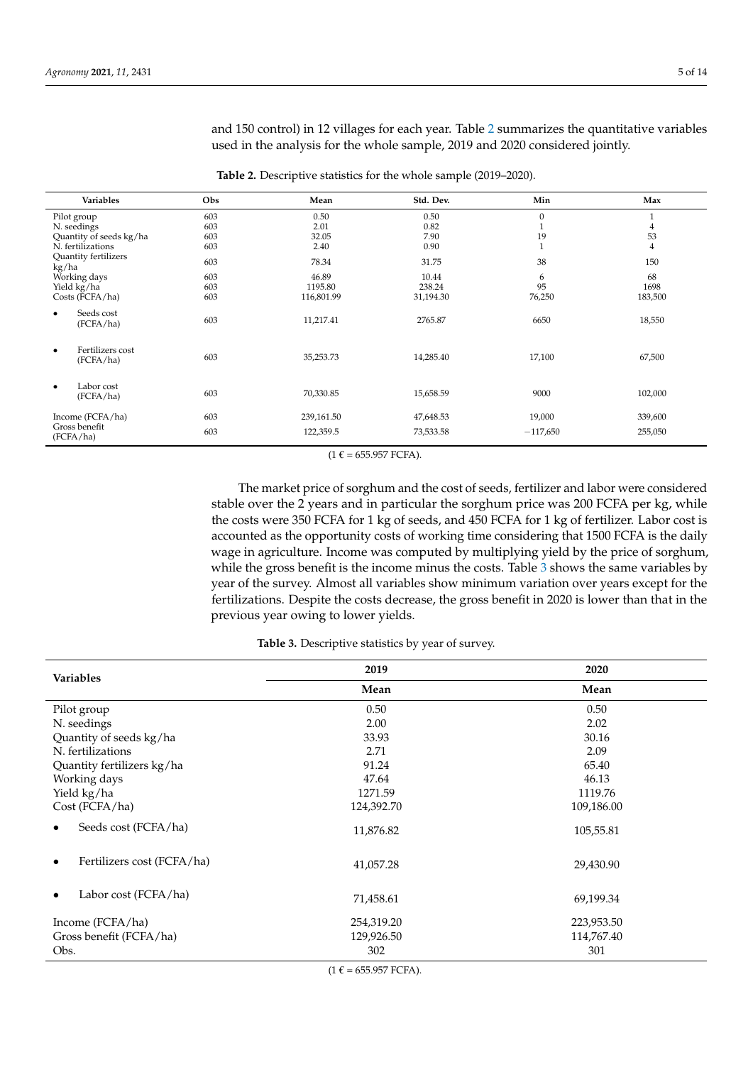and 150 control) in 12 villages for each year. Table [2](#page-4-0) summarizes the quantitative variables used in the analysis for the whole sample, 2019 and 2020 considered jointly.

<span id="page-4-0"></span>

| Variables                                  | Obs | Mean       | Std. Dev. | Min          | Max            |
|--------------------------------------------|-----|------------|-----------|--------------|----------------|
| Pilot group                                | 603 | 0.50       | 0.50      | $\mathbf{0}$ | $\mathbf{1}$   |
| N. seedings                                | 603 | 2.01       | 0.82      |              | 4              |
| Quantity of seeds kg/ha                    | 603 | 32.05      | 7.90      | 19           | 53             |
| N. fertilizations                          | 603 | 2.40       | 0.90      |              | $\overline{4}$ |
| Quantity fertilizers<br>kg/ha              | 603 | 78.34      | 31.75     | 38           | 150            |
| Working days                               | 603 | 46.89      | 10.44     | 6            | 68             |
| Yield kg/ha                                | 603 | 1195.80    | 238.24    | 95           | 1698           |
| Costs (FCFA/ha)                            | 603 | 116,801.99 | 31,194.30 | 76,250       | 183,500        |
| Seeds cost<br>٠<br>(FCFA/ha)               | 603 | 11,217.41  | 2765.87   | 6650         | 18,550         |
| Fertilizers cost<br>$\bullet$<br>(FCFA/ha) | 603 | 35,253.73  | 14,285.40 | 17,100       | 67,500         |
| Labor cost<br>٠<br>(FCFA/ha)               | 603 | 70,330.85  | 15,658.59 | 9000         | 102,000        |
| Income (FCFA/ha)                           | 603 | 239,161.50 | 47,648.53 | 19,000       | 339,600        |
| Gross benefit                              | 603 |            |           |              |                |
| (FCFA/ha)                                  |     | 122,359.5  | 73,533.58 | $-117,650$   | 255,050        |

**Table 2.** Descriptive statistics for the whole sample (2019–2020).

 $(1 \tisin 655.957 FCFA).$ 

The market price of sorghum and the cost of seeds, fertilizer and labor were considered stable over the 2 years and in particular the sorghum price was 200 FCFA per kg, while the costs were 350 FCFA for 1 kg of seeds, and 450 FCFA for 1 kg of fertilizer. Labor cost is accounted as the opportunity costs of working time considering that 1500 FCFA is the daily wage in agriculture. Income was computed by multiplying yield by the price of sorghum, while the gross benefit is the income minus the costs. Table [3](#page-4-1) shows the same variables by year of the survey. Almost all variables show minimum variation over years except for the fertilizations. Despite the costs decrease, the gross benefit in 2020 is lower than that in the previous year owing to lower yields.

# **Table 3.** Descriptive statistics by year of survey.

<span id="page-4-1"></span>

| <b>Variables</b>           | 2019       | 2020       |
|----------------------------|------------|------------|
|                            | Mean       | Mean       |
| Pilot group                | 0.50       | 0.50       |
| N. seedings                | 2.00       | 2.02       |
| Quantity of seeds kg/ha    | 33.93      | 30.16      |
| N. fertilizations          | 2.71       | 2.09       |
| Quantity fertilizers kg/ha | 91.24      | 65.40      |
| Working days               | 47.64      | 46.13      |
| Yield kg/ha                | 1271.59    | 1119.76    |
| Cost (FCFA/ha)             | 124,392.70 | 109,186.00 |
| Seeds cost (FCFA/ha)       | 11,876.82  | 105,55.81  |
| Fertilizers cost (FCFA/ha) | 41,057.28  | 29,430.90  |
| Labor cost (FCFA/ha)       | 71,458.61  | 69,199.34  |
| Income (FCFA/ha)           | 254,319.20 | 223,953.50 |
| Gross benefit (FCFA/ha)    | 129,926.50 | 114,767.40 |
| Obs.                       | 302        | 301        |

 $(1 \tisin 655.957 FCFA).$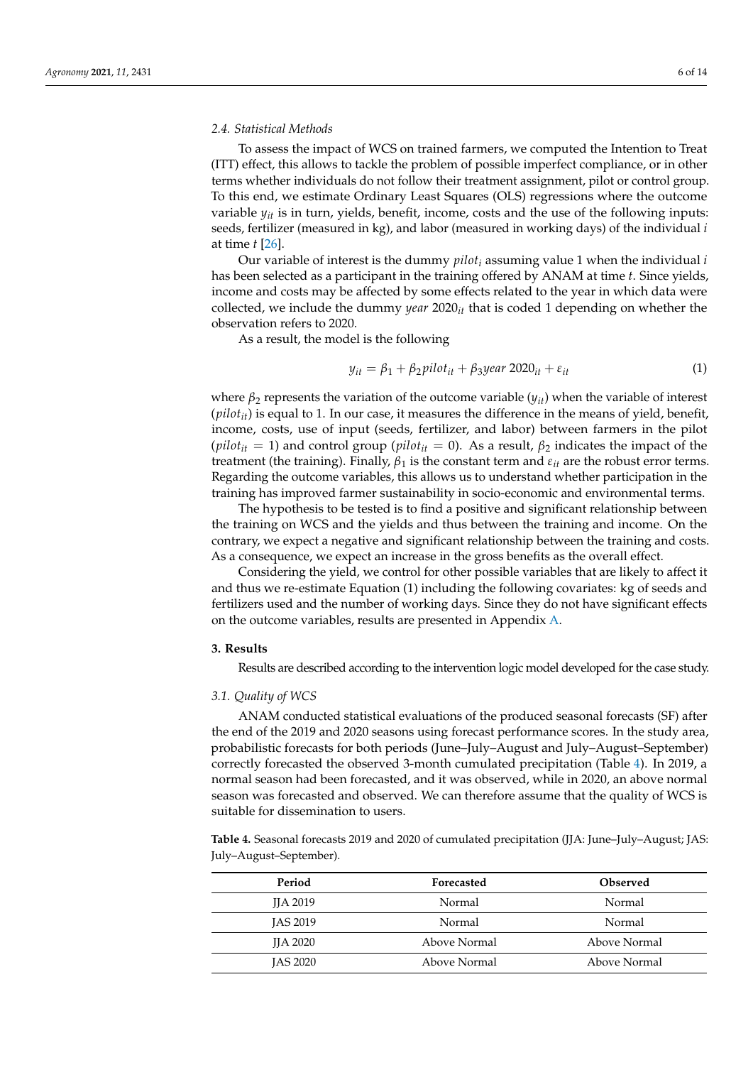### *2.4. Statistical Methods*

To assess the impact of WCS on trained farmers, we computed the Intention to Treat (ITT) effect, this allows to tackle the problem of possible imperfect compliance, or in other terms whether individuals do not follow their treatment assignment, pilot or control group. To this end, we estimate Ordinary Least Squares (OLS) regressions where the outcome variable *yit* is in turn, yields, benefit, income, costs and the use of the following inputs: seeds, fertilizer (measured in kg), and labor (measured in working days) of the individual *i* at time *t* [\[26\]](#page-13-7).

Our variable of interest is the dummy *pilot<sup>i</sup>* assuming value 1 when the individual *i* has been selected as a participant in the training offered by ANAM at time *t*. Since yields, income and costs may be affected by some effects related to the year in which data were collected, we include the dummy *year* 2020*it* that is coded 1 depending on whether the observation refers to 2020.

As a result, the model is the following

$$
y_{it} = \beta_1 + \beta_2 \text{pilot}_{it} + \beta_3 \text{year } 2020_{it} + \varepsilon_{it}
$$
 (1)

where  $\beta_2$  represents the variation of the outcome variable ( $y_{it}$ ) when the variable of interest (*pilotit*) is equal to 1. In our case, it measures the difference in the means of yield, benefit, income, costs, use of input (seeds, fertilizer, and labor) between farmers in the pilot  $(\text{pilot}_{it} = 1)$  and control group ( $\text{pilot}_{it} = 0$ ). As a result,  $\beta_2$  indicates the impact of the treatment (the training). Finally,  $\beta_1$  is the constant term and  $\varepsilon_{it}$  are the robust error terms. Regarding the outcome variables, this allows us to understand whether participation in the training has improved farmer sustainability in socio-economic and environmental terms.

The hypothesis to be tested is to find a positive and significant relationship between the training on WCS and the yields and thus between the training and income. On the contrary, we expect a negative and significant relationship between the training and costs. As a consequence, we expect an increase in the gross benefits as the overall effect.

Considering the yield, we control for other possible variables that are likely to affect it and thus we re-estimate Equation (1) including the following covariates: kg of seeds and fertilizers used and the number of working days. Since they do not have significant effects on the outcome variables, results are presented in Appendix [A.](#page-12-18)

#### **3. Results**

Results are described according to the intervention logic model developed for the case study.

# *3.1. Quality of WCS*

ANAM conducted statistical evaluations of the produced seasonal forecasts (SF) after the end of the 2019 and 2020 seasons using forecast performance scores. In the study area, probabilistic forecasts for both periods (June–July–August and July–August–September) correctly forecasted the observed 3-month cumulated precipitation (Table [4\)](#page-5-0). In 2019, a normal season had been forecasted, and it was observed, while in 2020, an above normal season was forecasted and observed. We can therefore assume that the quality of WCS is suitable for dissemination to users.

<span id="page-5-0"></span>**Table 4.** Seasonal forecasts 2019 and 2020 of cumulated precipitation (JJA: June–July–August; JAS: July–August–September).

| Period          | Forecasted   | <b>Observed</b> |
|-----------------|--------------|-----------------|
| <b>IIA 2019</b> | Normal       | Normal          |
| <b>IAS 2019</b> | Normal       | Normal          |
| <b>IIA 2020</b> | Above Normal | Above Normal    |
| <b>IAS 2020</b> | Above Normal | Above Normal    |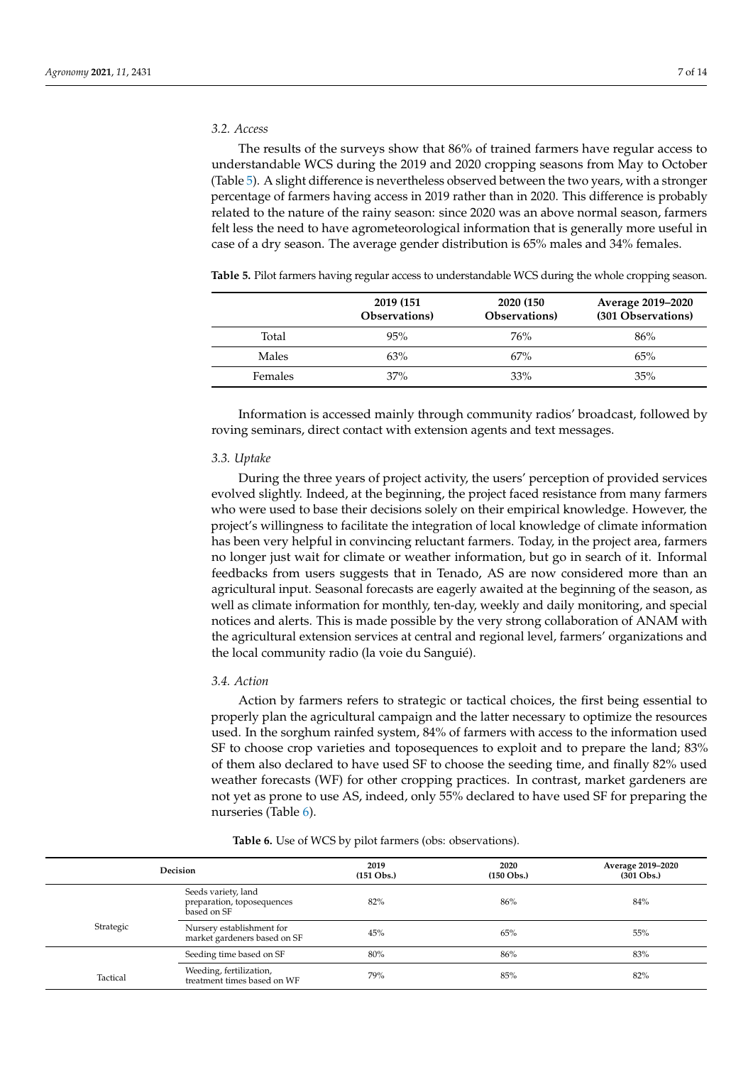# *3.2. Access*

The results of the surveys show that 86% of trained farmers have regular access to understandable WCS during the 2019 and 2020 cropping seasons from May to October (Table [5\)](#page-6-0). A slight difference is nevertheless observed between the two years, with a stronger percentage of farmers having access in 2019 rather than in 2020. This difference is probably related to the nature of the rainy season: since 2020 was an above normal season, farmers felt less the need to have agrometeorological information that is generally more useful in case of a dry season. The average gender distribution is 65% males and 34% females.

<span id="page-6-0"></span>

|  | Table 5. Pilot farmers having regular access to understandable WCS during the whole cropping season |  |
|--|-----------------------------------------------------------------------------------------------------|--|
|  |                                                                                                     |  |

|                | 2019 (151)<br>Observations) | 2020 (150)<br>Observations) | Average 2019–2020<br>(301 Observations) |
|----------------|-----------------------------|-----------------------------|-----------------------------------------|
| Total          | 95%                         | 76%                         | 86%                                     |
| Males          | 63%                         | 67%                         | 65%                                     |
| <b>Females</b> | 37%                         | 33%                         | 35%                                     |

Information is accessed mainly through community radios' broadcast, followed by roving seminars, direct contact with extension agents and text messages.

#### *3.3. Uptake*

During the three years of project activity, the users' perception of provided services evolved slightly. Indeed, at the beginning, the project faced resistance from many farmers who were used to base their decisions solely on their empirical knowledge. However, the project's willingness to facilitate the integration of local knowledge of climate information has been very helpful in convincing reluctant farmers. Today, in the project area, farmers no longer just wait for climate or weather information, but go in search of it. Informal feedbacks from users suggests that in Tenado, AS are now considered more than an agricultural input. Seasonal forecasts are eagerly awaited at the beginning of the season, as well as climate information for monthly, ten-day, weekly and daily monitoring, and special notices and alerts. This is made possible by the very strong collaboration of ANAM with the agricultural extension services at central and regional level, farmers' organizations and the local community radio (la voie du Sanguié).

#### *3.4. Action*

Action by farmers refers to strategic or tactical choices, the first being essential to properly plan the agricultural campaign and the latter necessary to optimize the resources used. In the sorghum rainfed system, 84% of farmers with access to the information used SF to choose crop varieties and toposequences to exploit and to prepare the land; 83% of them also declared to have used SF to choose the seeding time, and finally 82% used weather forecasts (WF) for other cropping practices. In contrast, market gardeners are not yet as prone to use AS, indeed, only 55% declared to have used SF for preparing the nurseries (Table [6\)](#page-6-1).

<span id="page-6-1"></span>

| <b>Decision</b> |                                                                  | 2019<br>$(151 \text{ Obs.})$ | 2020<br>$(150 \text{ Obs.})$ | Average 2019-2020<br>$(301 \text{ Obs.})$ |
|-----------------|------------------------------------------------------------------|------------------------------|------------------------------|-------------------------------------------|
|                 | Seeds variety, land<br>preparation, toposequences<br>based on SF | 82%                          | 86%                          | 84%                                       |
| Strategic       | Nursery establishment for<br>market gardeners based on SF        | 45%                          | 65%                          | 55%                                       |
|                 | Seeding time based on SF                                         | 80%                          | 86%                          | 83%                                       |
| Tactical        | Weeding, fertilization,<br>treatment times based on WF           | 79%                          | 85%                          | 82%                                       |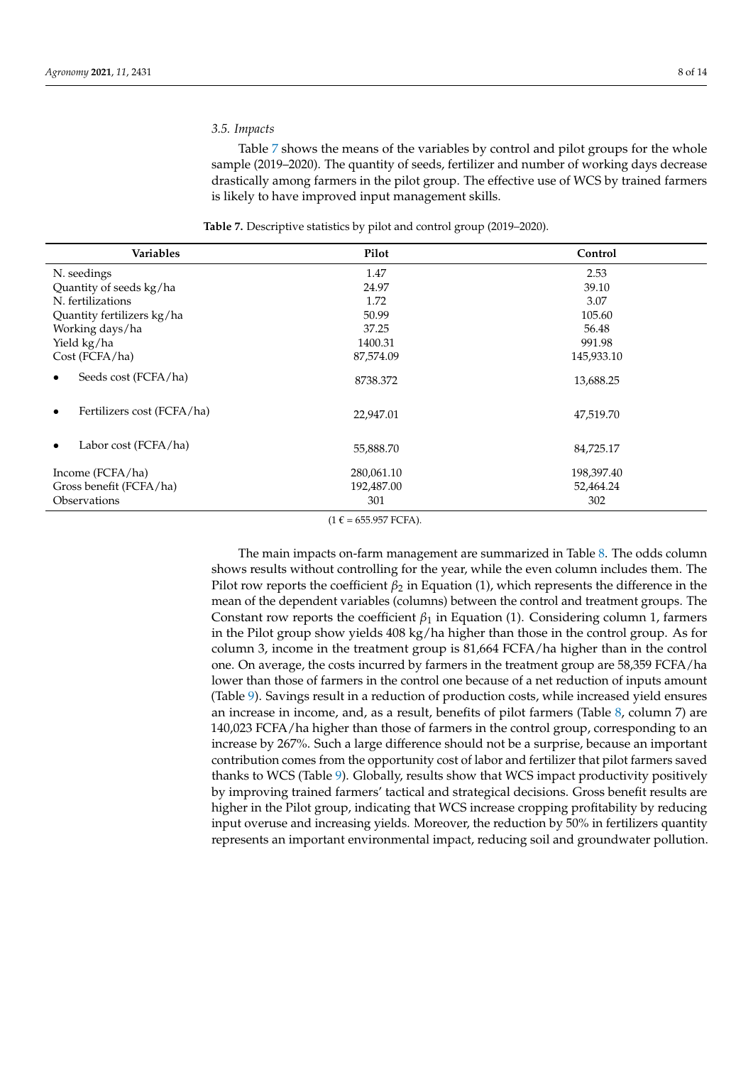# *3.5. Impacts*

Table [7](#page-7-0) shows the means of the variables by control and pilot groups for the whole sample (2019–2020). The quantity of seeds, fertilizer and number of working days decrease drastically among farmers in the pilot group. The effective use of WCS by trained farmers is likely to have improved input management skills.

| Table 7. Descriptive statistics by pilot and control group (2019-2020). |  |  |  |  |
|-------------------------------------------------------------------------|--|--|--|--|
|-------------------------------------------------------------------------|--|--|--|--|

<span id="page-7-0"></span>

| Variables                  | Pilot      | Control    |
|----------------------------|------------|------------|
| N. seedings                | 1.47       | 2.53       |
| Quantity of seeds kg/ha    | 24.97      | 39.10      |
| N. fertilizations          | 1.72       | 3.07       |
| Quantity fertilizers kg/ha | 50.99      | 105.60     |
| Working days/ha            | 37.25      | 56.48      |
| Yield kg/ha                | 1400.31    | 991.98     |
| Cost (FCFA/ha)             | 87,574.09  | 145,933.10 |
| Seeds cost (FCFA/ha)       | 8738.372   | 13,688.25  |
| Fertilizers cost (FCFA/ha) | 22,947.01  | 47,519.70  |
| Labor cost (FCFA/ha)       | 55,888.70  | 84,725.17  |
| Income (FCFA/ha)           | 280,061.10 | 198,397.40 |
| Gross benefit (FCFA/ha)    | 192,487.00 | 52,464.24  |
| Observations               | 301        | 302        |

 $(1 \tisin 655.957 FCFA).$ 

The main impacts on-farm management are summarized in Table [8.](#page-8-0) The odds column shows results without controlling for the year, while the even column includes them. The Pilot row reports the coefficient *β*<sub>2</sub> in Equation (1), which represents the difference in the mean of the dependent variables (columns) between the control and treatment groups. The Constant row reports the coefficient  $\beta_1$  in Equation (1). Considering column 1, farmers in the Pilot group show yields 408 kg/ha higher than those in the control group. As for column 3, income in the treatment group is 81,664 FCFA/ha higher than in the control one. On average, the costs incurred by farmers in the treatment group are 58,359 FCFA/ha lower than those of farmers in the control one because of a net reduction of inputs amount (Table [9\)](#page-8-1). Savings result in a reduction of production costs, while increased yield ensures an increase in income, and, as a result, benefits of pilot farmers (Table [8,](#page-8-0) column 7) are 140,023 FCFA/ha higher than those of farmers in the control group, corresponding to an increase by 267%. Such a large difference should not be a surprise, because an important contribution comes from the opportunity cost of labor and fertilizer that pilot farmers saved thanks to WCS (Table [9\)](#page-8-1). Globally, results show that WCS impact productivity positively by improving trained farmers' tactical and strategical decisions. Gross benefit results are higher in the Pilot group, indicating that WCS increase cropping profitability by reducing input overuse and increasing yields. Moreover, the reduction by 50% in fertilizers quantity represents an important environmental impact, reducing soil and groundwater pollution.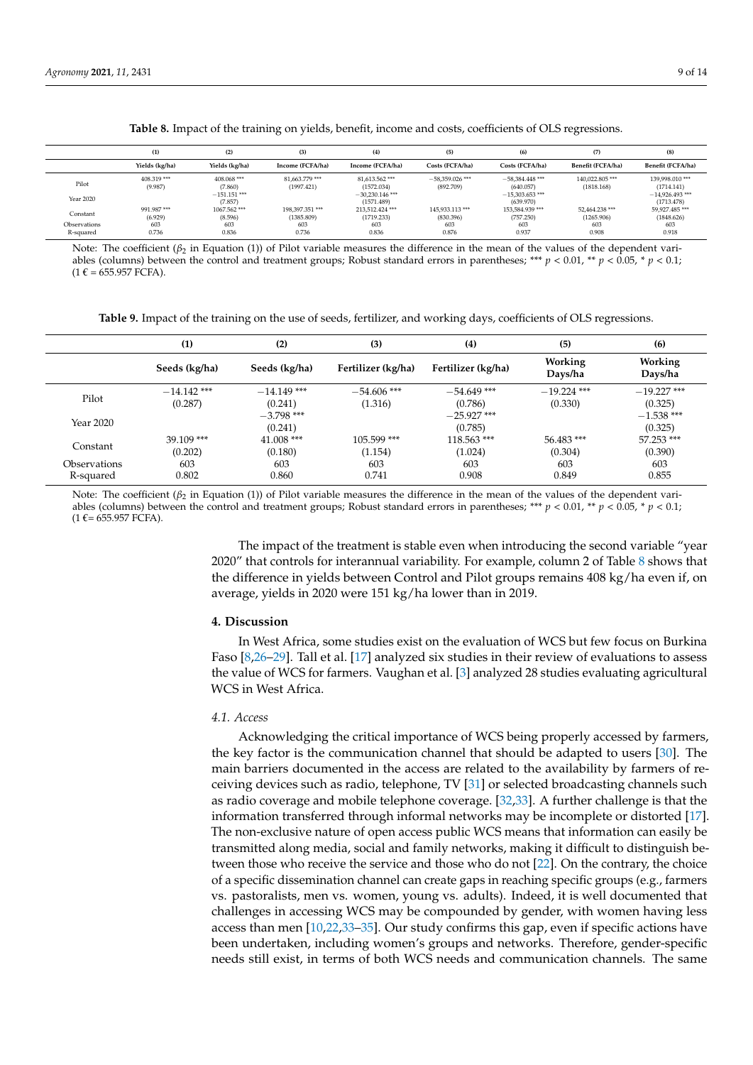<span id="page-8-0"></span>

|                           | (1)                   | (2)                       | (3)                          | (4)                             | (5)                            | (6)                            | (7)                          | (8)                            |
|---------------------------|-----------------------|---------------------------|------------------------------|---------------------------------|--------------------------------|--------------------------------|------------------------------|--------------------------------|
|                           | Yields (kg/ha)        | Yields (kg/ha)            | Income (FCFA/ha)             | Income (FCFA/ha)                | Costs (FCFA/ha)                | Costs (FCFA/ha)                | Benefit (FCFA/ha)            | Benefit (FCFA/ha)              |
| Pilot                     | 408.319***<br>(9.987) | 408.068 ***<br>(7.860)    | 81.663.779***<br>(1997.421)  | 81.613.562***<br>(1572.034)     | $-58.359.026$ ***<br>(892.709) | $-58.384.448$ ***<br>(640.057) | 140.022.805***<br>(1818.168) | 139,998,010 ***<br>(1714.141)  |
| Year 2020                 |                       | $-151.151$ ***<br>(7.857) |                              | $-30.230.146$ ***<br>(1571.489) |                                | $-15,303.653$ ***<br>(639.970) |                              | $-14.926.493***$<br>(1713.478) |
| Constant                  | 991.987***<br>(6.929) | 1067.562***<br>(8.596)    | 198,397,351***<br>(1385.809) | 213.512.424***<br>(1719.233)    | 145.933.113 ***<br>(830.396)   | 153,584,939 ***<br>(757.250)   | 52.464.238 ***<br>(1265.906) | 59.927.485***<br>(1848.626)    |
| Observations<br>R-squared | 603<br>0.736          | 603<br>0.836              | 603<br>0.736                 | 603<br>0.836                    | 603<br>0.876                   | 603<br>0.937                   | 603<br>0.908                 | 603<br>0.918                   |

**Table 8.** Impact of the training on yields, benefit, income and costs, coefficients of OLS regressions.

Note: The coefficient (*β*<sub>2</sub> in Equation (1)) of Pilot variable measures the difference in the mean of the values of the dependent variables (columns) between the control and treatment groups; Robust standard errors in parentheses; \*\*\* *p* < 0.01, \*\* *p* < 0.05, \* *p* < 0.1;  $(1 \tisin 655.957 FCFA).$ 

**Table 9.** Impact of the training on the use of seeds, fertilizer, and working days, coefficients of OLS regressions.

<span id="page-8-1"></span>

|              | (1)           | (2)                     | (3)                | (4)                      | (5)                | (6)                     |
|--------------|---------------|-------------------------|--------------------|--------------------------|--------------------|-------------------------|
|              | Seeds (kg/ha) | Seeds (kg/ha)           | Fertilizer (kg/ha) | Fertilizer (kg/ha)       | Working<br>Days/ha | Working<br>Days/ha      |
| Pilot        | $-14.142$ *** | $-14.149$ ***           | $-54.606$ ***      | $-54.649$ ***            | $-19.224$ ***      | $-19.227$ ***           |
|              | (0.287)       | (0.241)                 | (1.316)            | (0.786)                  | (0.330)            | (0.325)                 |
| Year 2020    |               | $-3.798$ ***<br>(0.241) |                    | $-25.927$ ***<br>(0.785) |                    | $-1.538$ ***<br>(0.325) |
| Constant     | $39.109$ ***  | $41.008$ ***            | $105.599$ ***      | 118.563***               | 56.483***          | 57.253 ***              |
|              | (0.202)       | (0.180)                 | (1.154)            | (1.024)                  | (0.304)            | (0.390)                 |
| Observations | 603           | 603                     | 603                | 603                      | 603                | 603                     |
| R-squared    | 0.802         | 0.860                   | 0.741              | 0.908                    | 0.849              | 0.855                   |

Note: The coefficient (β<sub>2</sub> in Equation (1)) of Pilot variable measures the difference in the mean of the values of the dependent variables (columns) between the control and treatment groups; Robust standard errors in parentheses; \*\*\* *p* < 0.01, \*\* *p* < 0.05, \* *p* < 0.1;  $(1 \text{ } \epsilon = 655.957 \text{ } FCFA).$ 

> The impact of the treatment is stable even when introducing the second variable "year 2020" that controls for interannual variability. For example, column 2 of Table [8](#page-8-0) shows that the difference in yields between Control and Pilot groups remains 408 kg/ha even if, on average, yields in 2020 were 151 kg/ha lower than in 2019.

# **4. Discussion**

In West Africa, some studies exist on the evaluation of WCS but few focus on Burkina Faso [\[8](#page-12-6)[,26–](#page-13-7)[29\]](#page-13-8). Tall et al. [\[17\]](#page-12-16) analyzed six studies in their review of evaluations to assess the value of WCS for farmers. Vaughan et al. [\[3\]](#page-12-1) analyzed 28 studies evaluating agricultural WCS in West Africa.

#### *4.1. Access*

Acknowledging the critical importance of WCS being properly accessed by farmers, the key factor is the communication channel that should be adapted to users [\[30\]](#page-13-9). The main barriers documented in the access are related to the availability by farmers of receiving devices such as radio, telephone, TV [\[31\]](#page-13-10) or selected broadcasting channels such as radio coverage and mobile telephone coverage. [\[32,](#page-13-11)[33\]](#page-13-12). A further challenge is that the information transferred through informal networks may be incomplete or distorted [\[17\]](#page-12-16). The non-exclusive nature of open access public WCS means that information can easily be transmitted along media, social and family networks, making it difficult to distinguish between those who receive the service and those who do not [\[22\]](#page-13-3). On the contrary, the choice of a specific dissemination channel can create gaps in reaching specific groups (e.g., farmers vs. pastoralists, men vs. women, young vs. adults). Indeed, it is well documented that challenges in accessing WCS may be compounded by gender, with women having less access than men [\[10](#page-12-9)[,22](#page-13-3)[,33](#page-13-12)[–35\]](#page-13-13). Our study confirms this gap, even if specific actions have been undertaken, including women's groups and networks. Therefore, gender-specific needs still exist, in terms of both WCS needs and communication channels. The same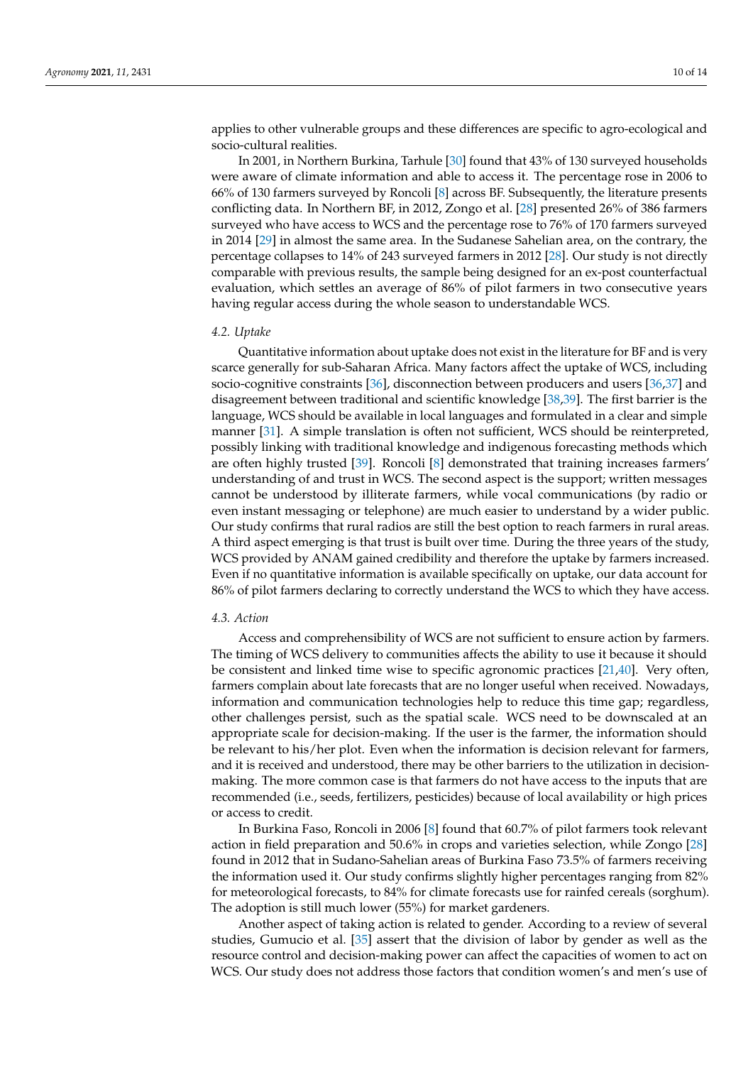applies to other vulnerable groups and these differences are specific to agro-ecological and socio-cultural realities.

In 2001, in Northern Burkina, Tarhule [\[30\]](#page-13-9) found that 43% of 130 surveyed households were aware of climate information and able to access it. The percentage rose in 2006 to 66% of 130 farmers surveyed by Roncoli [\[8\]](#page-12-6) across BF. Subsequently, the literature presents conflicting data. In Northern BF, in 2012, Zongo et al. [\[28\]](#page-13-14) presented 26% of 386 farmers surveyed who have access to WCS and the percentage rose to 76% of 170 farmers surveyed in 2014 [\[29\]](#page-13-8) in almost the same area. In the Sudanese Sahelian area, on the contrary, the percentage collapses to 14% of 243 surveyed farmers in 2012 [\[28\]](#page-13-14). Our study is not directly comparable with previous results, the sample being designed for an ex-post counterfactual evaluation, which settles an average of 86% of pilot farmers in two consecutive years having regular access during the whole season to understandable WCS.

#### *4.2. Uptake*

Quantitative information about uptake does not exist in the literature for BF and is very scarce generally for sub-Saharan Africa. Many factors affect the uptake of WCS, including socio-cognitive constraints [\[36\]](#page-13-15), disconnection between producers and users [\[36,](#page-13-15)[37\]](#page-13-16) and disagreement between traditional and scientific knowledge [\[38,](#page-13-17)[39\]](#page-13-18). The first barrier is the language, WCS should be available in local languages and formulated in a clear and simple manner [\[31\]](#page-13-10). A simple translation is often not sufficient, WCS should be reinterpreted, possibly linking with traditional knowledge and indigenous forecasting methods which are often highly trusted [\[39\]](#page-13-18). Roncoli [\[8\]](#page-12-6) demonstrated that training increases farmers' understanding of and trust in WCS. The second aspect is the support; written messages cannot be understood by illiterate farmers, while vocal communications (by radio or even instant messaging or telephone) are much easier to understand by a wider public. Our study confirms that rural radios are still the best option to reach farmers in rural areas. A third aspect emerging is that trust is built over time. During the three years of the study, WCS provided by ANAM gained credibility and therefore the uptake by farmers increased. Even if no quantitative information is available specifically on uptake, our data account for 86% of pilot farmers declaring to correctly understand the WCS to which they have access.

#### *4.3. Action*

Access and comprehensibility of WCS are not sufficient to ensure action by farmers. The timing of WCS delivery to communities affects the ability to use it because it should be consistent and linked time wise to specific agronomic practices [\[21,](#page-13-2)[40\]](#page-13-19). Very often, farmers complain about late forecasts that are no longer useful when received. Nowadays, information and communication technologies help to reduce this time gap; regardless, other challenges persist, such as the spatial scale. WCS need to be downscaled at an appropriate scale for decision-making. If the user is the farmer, the information should be relevant to his/her plot. Even when the information is decision relevant for farmers, and it is received and understood, there may be other barriers to the utilization in decisionmaking. The more common case is that farmers do not have access to the inputs that are recommended (i.e., seeds, fertilizers, pesticides) because of local availability or high prices or access to credit.

In Burkina Faso, Roncoli in 2006 [\[8\]](#page-12-6) found that 60.7% of pilot farmers took relevant action in field preparation and 50.6% in crops and varieties selection, while Zongo [\[28\]](#page-13-14) found in 2012 that in Sudano-Sahelian areas of Burkina Faso 73.5% of farmers receiving the information used it. Our study confirms slightly higher percentages ranging from 82% for meteorological forecasts, to 84% for climate forecasts use for rainfed cereals (sorghum). The adoption is still much lower (55%) for market gardeners.

Another aspect of taking action is related to gender. According to a review of several studies, Gumucio et al. [\[35\]](#page-13-13) assert that the division of labor by gender as well as the resource control and decision-making power can affect the capacities of women to act on WCS. Our study does not address those factors that condition women's and men's use of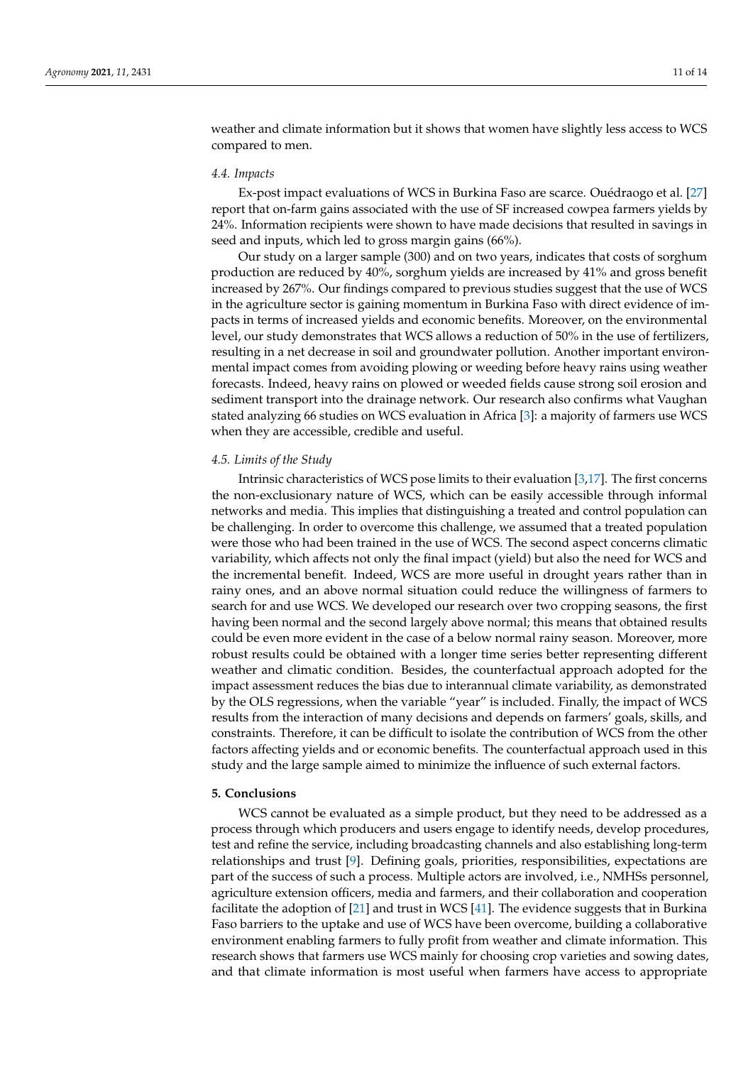weather and climate information but it shows that women have slightly less access to WCS compared to men.

#### *4.4. Impacts*

Ex-post impact evaluations of WCS in Burkina Faso are scarce. Ouédraogo et al. [\[27\]](#page-13-20) report that on-farm gains associated with the use of SF increased cowpea farmers yields by 24%. Information recipients were shown to have made decisions that resulted in savings in seed and inputs, which led to gross margin gains (66%).

Our study on a larger sample (300) and on two years, indicates that costs of sorghum production are reduced by 40%, sorghum yields are increased by 41% and gross benefit increased by 267%. Our findings compared to previous studies suggest that the use of WCS in the agriculture sector is gaining momentum in Burkina Faso with direct evidence of impacts in terms of increased yields and economic benefits. Moreover, on the environmental level, our study demonstrates that WCS allows a reduction of 50% in the use of fertilizers, resulting in a net decrease in soil and groundwater pollution. Another important environmental impact comes from avoiding plowing or weeding before heavy rains using weather forecasts. Indeed, heavy rains on plowed or weeded fields cause strong soil erosion and sediment transport into the drainage network. Our research also confirms what Vaughan stated analyzing 66 studies on WCS evaluation in Africa [\[3\]](#page-12-1): a majority of farmers use WCS when they are accessible, credible and useful.

#### *4.5. Limits of the Study*

Intrinsic characteristics of WCS pose limits to their evaluation [\[3](#page-12-1)[,17\]](#page-12-16). The first concerns the non-exclusionary nature of WCS, which can be easily accessible through informal networks and media. This implies that distinguishing a treated and control population can be challenging. In order to overcome this challenge, we assumed that a treated population were those who had been trained in the use of WCS. The second aspect concerns climatic variability, which affects not only the final impact (yield) but also the need for WCS and the incremental benefit. Indeed, WCS are more useful in drought years rather than in rainy ones, and an above normal situation could reduce the willingness of farmers to search for and use WCS. We developed our research over two cropping seasons, the first having been normal and the second largely above normal; this means that obtained results could be even more evident in the case of a below normal rainy season. Moreover, more robust results could be obtained with a longer time series better representing different weather and climatic condition. Besides, the counterfactual approach adopted for the impact assessment reduces the bias due to interannual climate variability, as demonstrated by the OLS regressions, when the variable "year" is included. Finally, the impact of WCS results from the interaction of many decisions and depends on farmers' goals, skills, and constraints. Therefore, it can be difficult to isolate the contribution of WCS from the other factors affecting yields and or economic benefits. The counterfactual approach used in this study and the large sample aimed to minimize the influence of such external factors.

# **5. Conclusions**

WCS cannot be evaluated as a simple product, but they need to be addressed as a process through which producers and users engage to identify needs, develop procedures, test and refine the service, including broadcasting channels and also establishing long-term relationships and trust [\[9\]](#page-12-7). Defining goals, priorities, responsibilities, expectations are part of the success of such a process. Multiple actors are involved, i.e., NMHSs personnel, agriculture extension officers, media and farmers, and their collaboration and cooperation facilitate the adoption of  $[21]$  and trust in WCS  $[41]$ . The evidence suggests that in Burkina Faso barriers to the uptake and use of WCS have been overcome, building a collaborative environment enabling farmers to fully profit from weather and climate information. This research shows that farmers use WCS mainly for choosing crop varieties and sowing dates, and that climate information is most useful when farmers have access to appropriate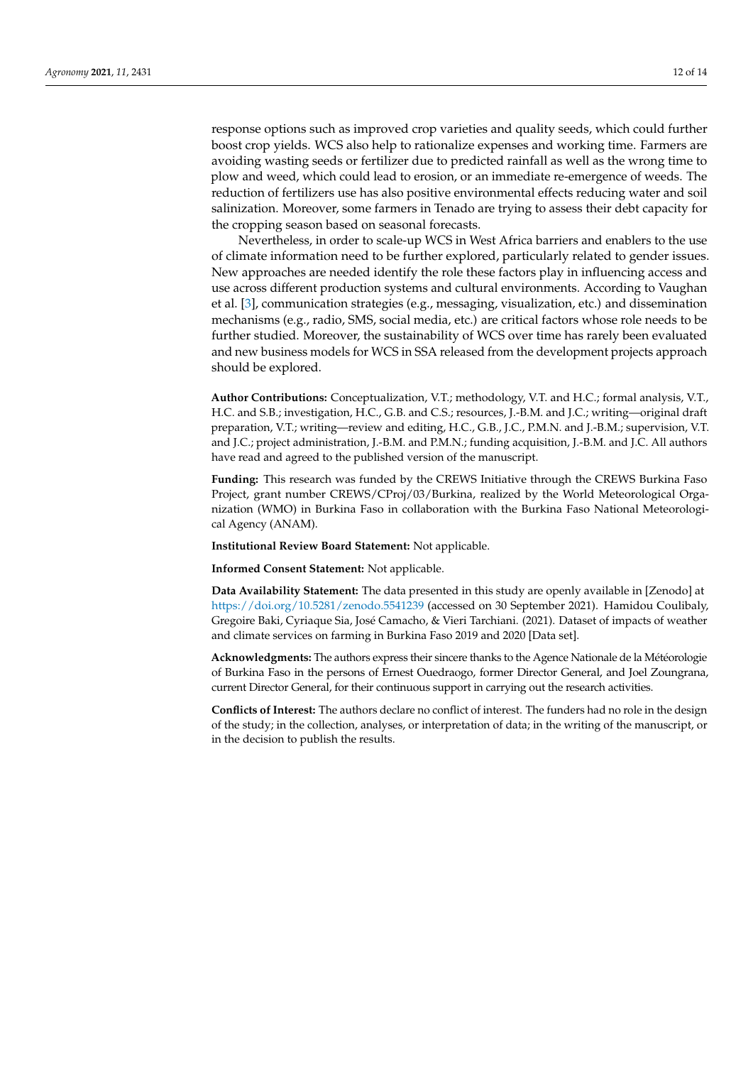response options such as improved crop varieties and quality seeds, which could further boost crop yields. WCS also help to rationalize expenses and working time. Farmers are avoiding wasting seeds or fertilizer due to predicted rainfall as well as the wrong time to plow and weed, which could lead to erosion, or an immediate re-emergence of weeds. The reduction of fertilizers use has also positive environmental effects reducing water and soil salinization. Moreover, some farmers in Tenado are trying to assess their debt capacity for the cropping season based on seasonal forecasts.

Nevertheless, in order to scale-up WCS in West Africa barriers and enablers to the use of climate information need to be further explored, particularly related to gender issues. New approaches are needed identify the role these factors play in influencing access and use across different production systems and cultural environments. According to Vaughan et al. [\[3\]](#page-12-1), communication strategies (e.g., messaging, visualization, etc.) and dissemination mechanisms (e.g., radio, SMS, social media, etc.) are critical factors whose role needs to be further studied. Moreover, the sustainability of WCS over time has rarely been evaluated and new business models for WCS in SSA released from the development projects approach should be explored.

**Author Contributions:** Conceptualization, V.T.; methodology, V.T. and H.C.; formal analysis, V.T., H.C. and S.B.; investigation, H.C., G.B. and C.S.; resources, J.-B.M. and J.C.; writing—original draft preparation, V.T.; writing—review and editing, H.C., G.B., J.C., P.M.N. and J.-B.M.; supervision, V.T. and J.C.; project administration, J.-B.M. and P.M.N.; funding acquisition, J.-B.M. and J.C. All authors have read and agreed to the published version of the manuscript.

**Funding:** This research was funded by the CREWS Initiative through the CREWS Burkina Faso Project, grant number CREWS/CProj/03/Burkina, realized by the World Meteorological Organization (WMO) in Burkina Faso in collaboration with the Burkina Faso National Meteorological Agency (ANAM).

**Institutional Review Board Statement:** Not applicable.

**Informed Consent Statement:** Not applicable.

**Data Availability Statement:** The data presented in this study are openly available in [Zenodo] at <https://doi.org/10.5281/zenodo.5541239> (accessed on 30 September 2021). Hamidou Coulibaly, Gregoire Baki, Cyriaque Sia, José Camacho, & Vieri Tarchiani. (2021). Dataset of impacts of weather and climate services on farming in Burkina Faso 2019 and 2020 [Data set].

**Acknowledgments:** The authors express their sincere thanks to the Agence Nationale de la Météorologie of Burkina Faso in the persons of Ernest Ouedraogo, former Director General, and Joel Zoungrana, current Director General, for their continuous support in carrying out the research activities.

**Conflicts of Interest:** The authors declare no conflict of interest. The funders had no role in the design of the study; in the collection, analyses, or interpretation of data; in the writing of the manuscript, or in the decision to publish the results.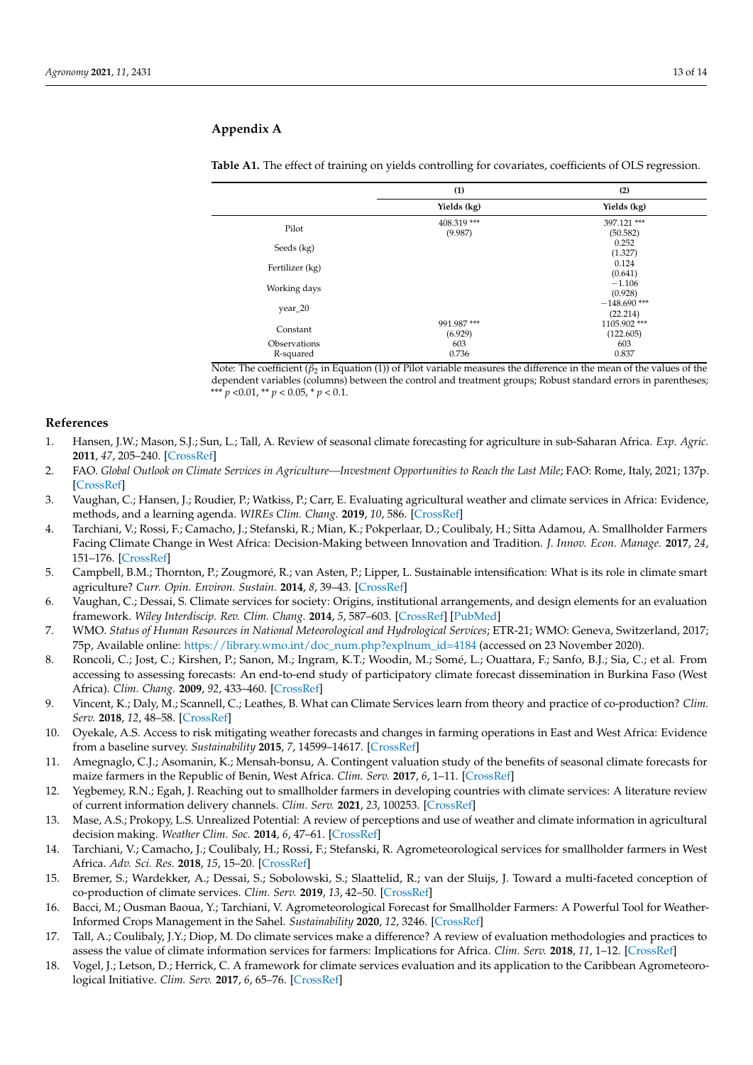# <span id="page-12-18"></span>**Appendix A**

|                           | (1)                    | (2)                        |
|---------------------------|------------------------|----------------------------|
|                           | Yields (kg)            | Yields (kg)                |
| Pilot                     | 408.319 ***<br>(9.987) | 397.121***<br>(50.582)     |
| Seeds (kg)                |                        | 0.252<br>(1.327)           |
| Fertilizer (kg)           |                        | 0.124<br>(0.641)           |
| Working days              |                        | $-1.106$<br>(0.928)        |
| year_20                   |                        | $-148.690$ ***<br>(22.214) |
| Constant                  | 991.987***<br>(6.929)  | 1105.902***<br>(122.605)   |
| Observations<br>R-squared | 603<br>0.736           | 603<br>0.837               |

#### **Table A1.** The effect of training on yields controlling for covariates, coefficients of OLS regression.

Note: The coefficient (*β*<sub>2</sub> in Equation (1)) of Pilot variable measures the difference in the mean of the values of the dependent variables (columns) between the control and treatment groups; Robust standard errors in parentheses; \*\*\* $p$  <0.01, \*\*  $p$  < 0.05, \*  $p$  < 0.1.

# **References**

- <span id="page-12-0"></span>1. Hansen, J.W.; Mason, S.J.; Sun, L.; Tall, A. Review of seasonal climate forecasting for agriculture in sub-Saharan Africa. *Exp. Agric.* **2011**, *47*, 205–240. [\[CrossRef\]](http://doi.org/10.1017/S0014479710000876)
- <span id="page-12-8"></span>2. FAO. Global Outlook on Climate Services in Agriculture—Investment Opportunities to Reach the Last Mile; FAO: Rome, Italy, 2021; 137p. [\[CrossRef\]](http://doi.org/10.4060/cb6941en)
- <span id="page-12-1"></span>3. Vaughan, C.; Hansen, J.; Roudier, P.; Watkiss, P.; Carr, E. Evaluating agricultural weather and climate services in Africa: Evidence, methods, and a learning agenda. *WIREs Clim. Chang.* **2019**, *10*, 586. [\[CrossRef\]](http://doi.org/10.1002/wcc.586)
- <span id="page-12-2"></span>4. Tarchiani, V.; Rossi, F.; Camacho, J.; Stefanski, R.; Mian, K.; Pokperlaar, D.; Coulibaly, H.; Sitta Adamou, A. Smallholder Farmers Facing Climate Change in West Africa: Decision-Making between Innovation and Tradition. *J. Innov. Econ. Manage.* **2017**, *24*, 151–176. [\[CrossRef\]](http://doi.org/10.3917/jie.pr1.0013)
- <span id="page-12-3"></span>5. Campbell, B.M.; Thornton, P.; Zougmoré, R.; van Asten, P.; Lipper, L. Sustainable intensification: What is its role in climate smart agriculture? *Curr. Opin. Environ. Sustain.* **2014**, *8*, 39–43. [\[CrossRef\]](http://doi.org/10.1016/j.cosust.2014.07.002)
- <span id="page-12-4"></span>6. Vaughan, C.; Dessai, S. Climate services for society: Origins, institutional arrangements, and design elements for an evaluation framework. *Wiley Interdiscip. Rev. Clim. Chang.* **2014**, *5*, 587–603. [\[CrossRef\]](http://doi.org/10.1002/wcc.290) [\[PubMed\]](http://www.ncbi.nlm.nih.gov/pubmed/25798197)
- <span id="page-12-5"></span>7. WMO. *Status of Human Resources in National Meteorological and Hydrological Services*; ETR-21; WMO: Geneva, Switzerland, 2017; 75p, Available online: [https://library.wmo.int/doc\\_num.php?explnum\\_id=4184](https://library.wmo.int/doc_num.php?explnum_id=4184) (accessed on 23 November 2020).
- <span id="page-12-6"></span>8. Roncoli, C.; Jost, C.; Kirshen, P.; Sanon, M.; Ingram, K.T.; Woodin, M.; Somé, L.; Ouattara, F.; Sanfo, B.J.; Sia, C.; et al. From accessing to assessing forecasts: An end-to-end study of participatory climate forecast dissemination in Burkina Faso (West Africa). *Clim. Chang.* **2009**, *92*, 433–460. [\[CrossRef\]](http://doi.org/10.1007/s10584-008-9445-6)
- <span id="page-12-7"></span>9. Vincent, K.; Daly, M.; Scannell, C.; Leathes, B. What can Climate Services learn from theory and practice of co-production? *Clim. Serv.* **2018**, *12*, 48–58. [\[CrossRef\]](http://doi.org/10.1016/j.cliser.2018.11.001)
- <span id="page-12-9"></span>10. Oyekale, A.S. Access to risk mitigating weather forecasts and changes in farming operations in East and West Africa: Evidence from a baseline survey. *Sustainability* **2015**, *7*, 14599–14617. [\[CrossRef\]](http://doi.org/10.3390/su71114599)
- <span id="page-12-10"></span>11. Amegnaglo, C.J.; Asomanin, K.; Mensah-bonsu, A. Contingent valuation study of the benefits of seasonal climate forecasts for maize farmers in the Republic of Benin, West Africa. *Clim. Serv.* **2017**, *6*, 1–11. [\[CrossRef\]](http://doi.org/10.1016/j.cliser.2017.06.007)
- <span id="page-12-11"></span>12. Yegbemey, R.N.; Egah, J. Reaching out to smallholder farmers in developing countries with climate services: A literature review of current information delivery channels. *Clim. Serv.* **2021**, *23*, 100253. [\[CrossRef\]](http://doi.org/10.1016/j.cliser.2021.100253)
- <span id="page-12-12"></span>13. Mase, A.S.; Prokopy, L.S. Unrealized Potential: A review of perceptions and use of weather and climate information in agricultural decision making. *Weather Clim. Soc.* **2014**, *6*, 47–61. [\[CrossRef\]](http://doi.org/10.1175/WCAS-D-12-00062.1)
- <span id="page-12-13"></span>14. Tarchiani, V.; Camacho, J.; Coulibaly, H.; Rossi, F.; Stefanski, R. Agrometeorological services for smallholder farmers in West Africa. *Adv. Sci. Res.* **2018**, *15*, 15–20. [\[CrossRef\]](http://doi.org/10.5194/asr-15-15-2018)
- <span id="page-12-14"></span>15. Bremer, S.; Wardekker, A.; Dessai, S.; Sobolowski, S.; Slaattelid, R.; van der Sluijs, J. Toward a multi-faceted conception of co-production of climate services. *Clim. Serv.* **2019**, *13*, 42–50. [\[CrossRef\]](http://doi.org/10.1016/j.cliser.2019.01.003)
- <span id="page-12-15"></span>16. Bacci, M.; Ousman Baoua, Y.; Tarchiani, V. Agrometeorological Forecast for Smallholder Farmers: A Powerful Tool for Weather-Informed Crops Management in the Sahel. *Sustainability* **2020**, *12*, 3246. [\[CrossRef\]](http://doi.org/10.3390/su12083246)
- <span id="page-12-16"></span>17. Tall, A.; Coulibaly, J.Y.; Diop, M. Do climate services make a difference? A review of evaluation methodologies and practices to assess the value of climate information services for farmers: Implications for Africa. *Clim. Serv.* **2018**, *11*, 1–12. [\[CrossRef\]](http://doi.org/10.1016/j.cliser.2018.06.001)
- <span id="page-12-17"></span>18. Vogel, J.; Letson, D.; Herrick, C. A framework for climate services evaluation and its application to the Caribbean Agrometeorological Initiative. *Clim. Serv.* **2017**, *6*, 65–76. [\[CrossRef\]](http://doi.org/10.1016/j.cliser.2017.07.003)